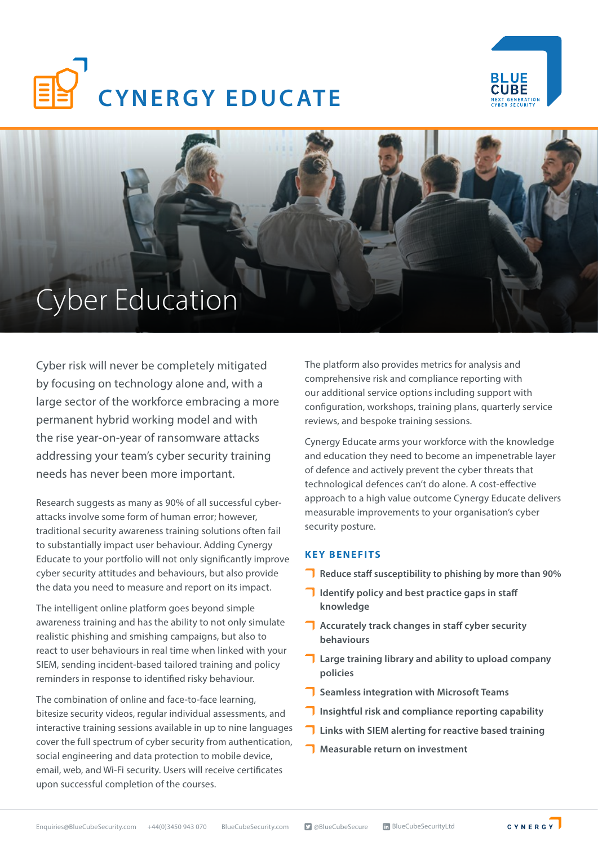





Cyber risk will never be completely mitigated by focusing on technology alone and, with a large sector of the workforce embracing a more permanent hybrid working model and with the rise year-on-year of ransomware attacks addressing your team's cyber security training needs has never been more important.

Research suggests as many as 90% of all successful cyberattacks involve some form of human error; however, traditional security awareness training solutions often fail to substantially impact user behaviour. Adding Cynergy Educate to your portfolio will not only significantly improve cyber security attitudes and behaviours, but also provide the data you need to measure and report on its impact.

The intelligent online platform goes beyond simple awareness training and has the ability to not only simulate realistic phishing and smishing campaigns, but also to react to user behaviours in real time when linked with your SIEM, sending incident-based tailored training and policy reminders in response to identified risky behaviour.

The combination of online and face-to-face learning, bitesize security videos, regular individual assessments, and interactive training sessions available in up to nine languages cover the full spectrum of cyber security from authentication, social engineering and data protection to mobile device, email, web, and Wi-Fi security. Users will receive certificates upon successful completion of the courses.

The platform also provides metrics for analysis and comprehensive risk and compliance reporting with our additional service options including support with configuration, workshops, training plans, quarterly service reviews, and bespoke training sessions.

Cynergy Educate arms your workforce with the knowledge and education they need to become an impenetrable layer of defence and actively prevent the cyber threats that technological defences can't do alone. A cost-effective approach to a high value outcome Cynergy Educate delivers measurable improvements to your organisation's cyber security posture.

## **KEY BENEFITS**

- **Reduce staff susceptibility to phishing by more than 90%**
- **IDED** Identify policy and best practice gaps in staff **knowledge**
- **Accurately track changes in staff cyber security behaviours**
- **Large training library and ability to upload company policies**
- **T** Seamless integration with Microsoft Teams
- **T** Insightful risk and compliance reporting capability
- **T** Links with SIEM alerting for reactive based training
- **Measurable return on investment**